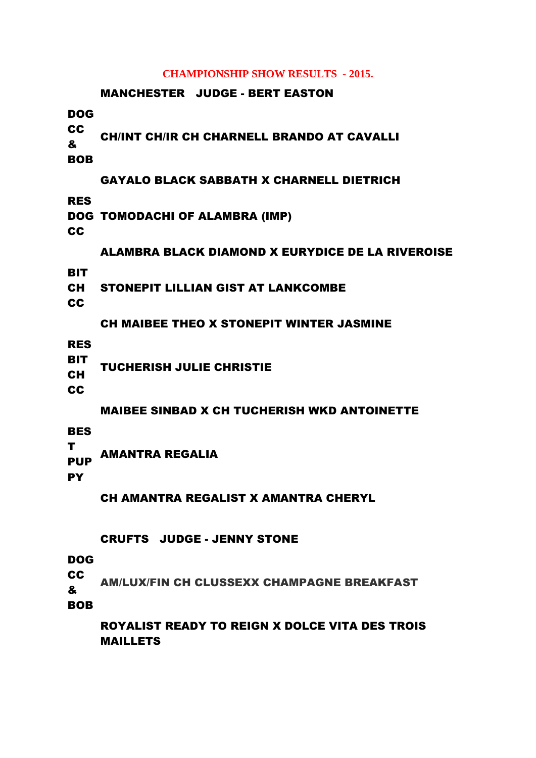#### **CHAMPIONSHIP SHOW RESULTS - 2015.**

# MANCHESTER JUDGE - BERT EASTON DOG CC & BOB CH/INT CH/IR CH CHARNELL BRANDO AT CAVALLI GAYALO BLACK SABBATH X CHARNELL DIETRICH RES DOG TOMODACHI OF ALAMBRA (IMP) **CC** ALAMBRA BLACK DIAMOND X EURYDICE DE LA RIVEROISE **BIT** CH **CC** STONEPIT LILLIAN GIST AT LANKCOMBE CH MAIBEE THEO X STONEPIT WINTER JASMINE RES **BIT** CH **CC** TUCHERISH JULIE CHRISTIE MAIBEE SINBAD X CH TUCHERISH WKD ANTOINETTE **BES** T PUP **PY** AMANTRA REGALIA CH AMANTRA REGALIST X AMANTRA CHERYL CRUFTS JUDGE - JENNY STONE DOG CC & BOB AM/LUX/FIN CH CLUSSEXX CHAMPAGNE BREAKFAST

ROYALIST READY TO REIGN X DOLCE VITA DES TROIS MAILLETS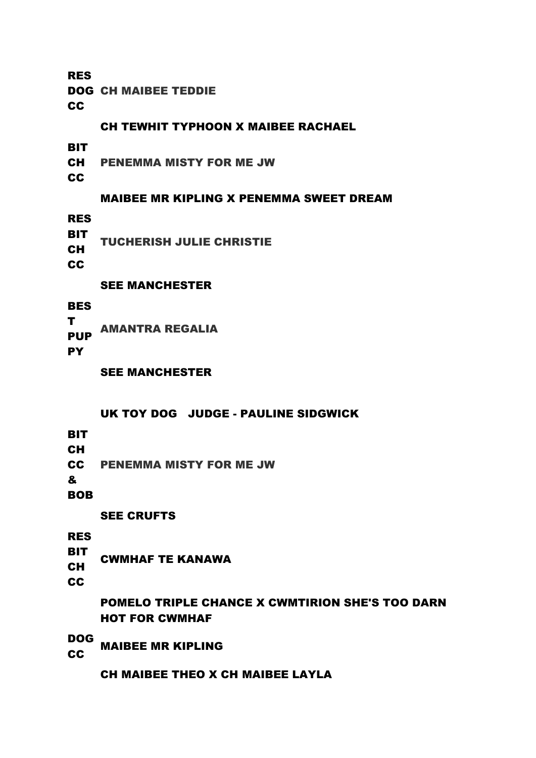RES

DOG CH MAIBEE TEDDIE

**CC** 

## CH TEWHIT TYPHOON X MAIBEE RACHAEL

**BIT** 

CH PENEMMA MISTY FOR ME JW

**CC** 

## MAIBEE MR KIPLING X PENEMMA SWEET DREAM

RES

**BIT** CH TUCHERISH JULIE CHRISTIE

**CC** 

## SEE MANCHESTER

**BES** T AMANTRA REGALIA

PUP

**PY** 

SEE MANCHESTER

### UK TOY DOG JUDGE - PAULINE SIDGWICK

- **BIT**
- CH
- **CC** PENEMMA MISTY FOR ME JW

&

BOB

SEE CRUFTS

RES

- **BIT** CWMHAF TE KANAWA
- CH

CC

POMELO TRIPLE CHANCE X CWMTIRION SHE'S TOO DARN HOT FOR CWMHAF

DOG **CC MAIBEE MR KIPLING** 

CH MAIBEE THEO X CH MAIBEE LAYLA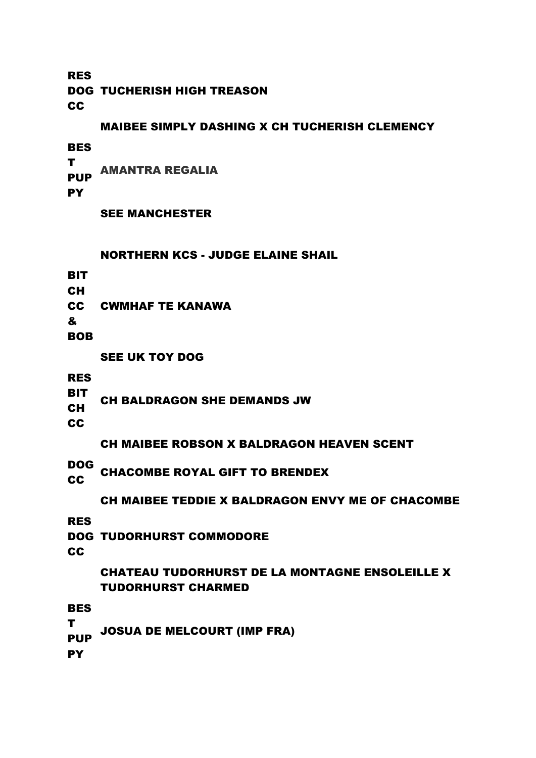RES DOG TUCHERISH HIGH TREASON **CC** 

## MAIBEE SIMPLY DASHING X CH TUCHERISH CLEMENCY

**BES** 

T PUP **PY** AMANTRA REGALIA

SEE MANCHESTER

#### NORTHERN KCS - JUDGE ELAINE SHAIL

**BIT** 

CH

CC CWMHAF TE KANAWA

&

**BOB** 

SEE UK TOY DOG

RES

**BIT** CH CH BALDRAGON SHE DEMANDS JW

**CC** 

CH MAIBEE ROBSON X BALDRAGON HEAVEN SCENT

DOG

**CC CHACOMBE ROYAL GIFT TO BRENDEX** 

CH MAIBEE TEDDIE X BALDRAGON ENVY ME OF CHACOMBE

RES

DOG TUDORHURST COMMODORE

**CC** 

## CHATEAU TUDORHURST DE LA MONTAGNE ENSOLEILLE X TUDORHURST CHARMED

**BES** 

T **PUP** JOSUA DE MELCOURT (IMP FRA)

**PY**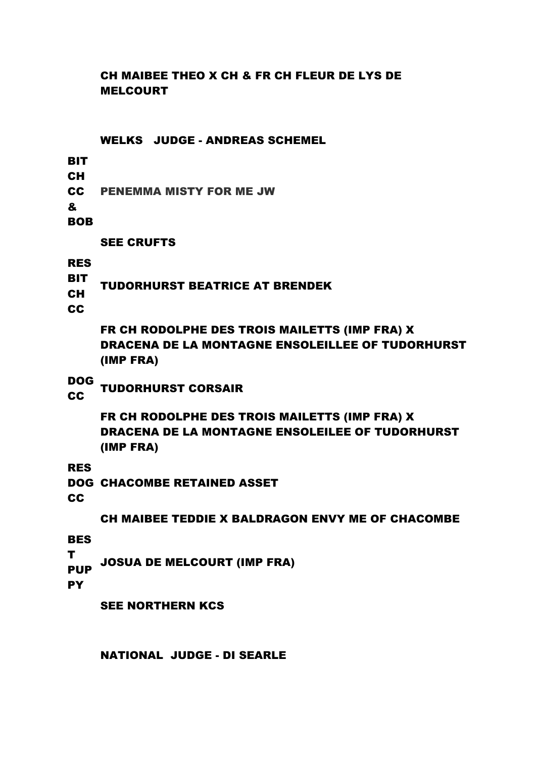# CH MAIBEE THEO X CH & FR CH FLEUR DE LYS DE MELCOURT

WELKS JUDGE - ANDREAS SCHEMEL

**BIT** 

CH

CC PENEMMA MISTY FOR ME JW

&

BOB

SEE CRUFTS

RES

**BIT** CH TUDORHURST BEATRICE AT BRENDEK

CC

FR CH RODOLPHE DES TROIS MAILETTS (IMP FRA) X DRACENA DE LA MONTAGNE ENSOLEILLEE OF TUDORHURST (IMP FRA)

DOG

**CC TUDORHURST CORSAIR**<br>CC

FR CH RODOLPHE DES TROIS MAILETTS (IMP FRA) X DRACENA DE LA MONTAGNE ENSOLEILEE OF TUDORHURST (IMP FRA)

RES

DOG CHACOMBE RETAINED ASSET

**CC** 

CH MAIBEE TEDDIE X BALDRAGON ENVY ME OF CHACOMBE

**BES** 

T JOSUA DE MELCOURT (IMP FRA)

PUP **PY** 

SEE NORTHERN KCS

NATIONAL JUDGE - DI SEARLE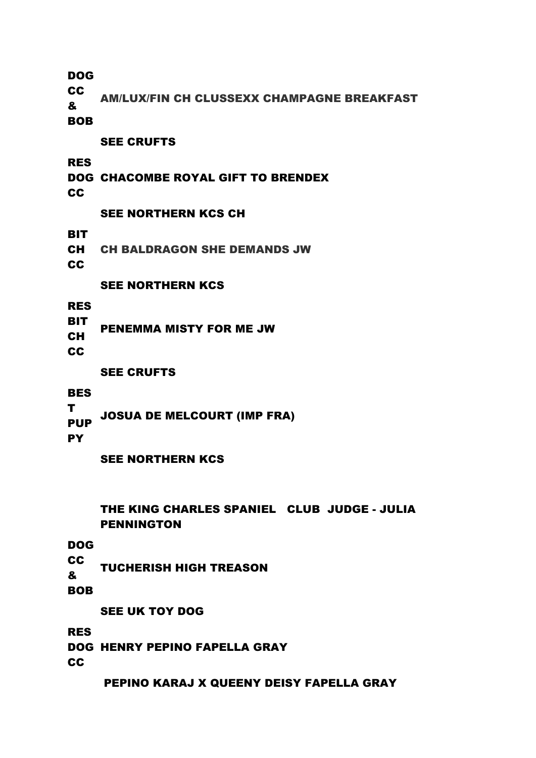DOG

**CC** 

& AM/LUX/FIN CH CLUSSEXX CHAMPAGNE BREAKFAST

BOB

SEE CRUFTS

RES

# DOG CHACOMBE ROYAL GIFT TO BRENDEX

**CC** 

# SEE NORTHERN KCS CH

**BIT** 

CH CH BALDRAGON SHE DEMANDS JW

**CC** 

# SEE NORTHERN KCS

RES

**BIT** CH PENEMMA MISTY FOR ME JW

CC

# SEE CRUFTS

**BES** 

T PUP JOSUA DE MELCOURT (IMP FRA)

**PY** 

# SEE NORTHERN KCS

# THE KING CHARLES SPANIEL CLUB JUDGE - JULIA PENNINGTON

DOG

**CC** & TUCHERISH HIGH TREASON

BOB

SEE UK TOY DOG

# RES DOG HENRY PEPINO FAPELLA GRAY **CC**

# PEPINO KARAJ X QUEENY DEISY FAPELLA GRAY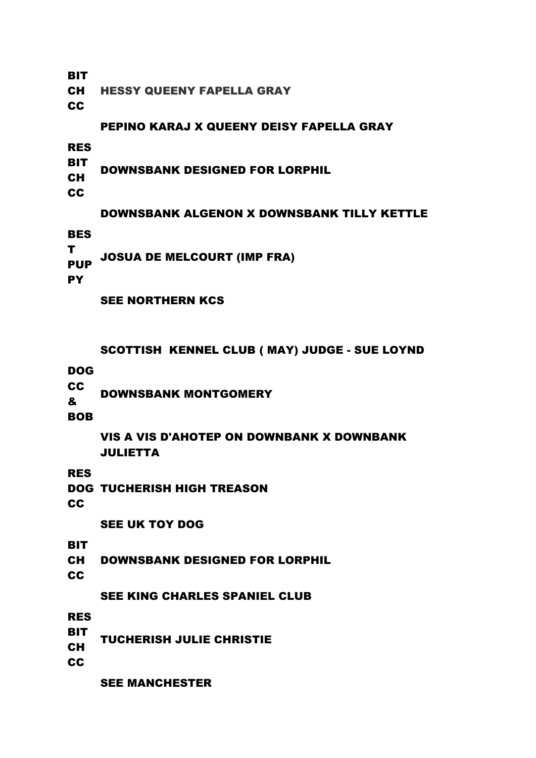**BIT** 

CH HESSY QUEENY FAPELLA GRAY

**CC** 

# PEPINO KARAJ X QUEENY DEISY FAPELLA GRAY

RES

**BIT** CH DOWNSBANK DESIGNED FOR LORPHIL

**CC** 

# DOWNSBANK ALGENON X DOWNSBANK TILLY KETTLE

**BES** 

T PUP JOSUA DE MELCOURT (IMP FRA)

**PY** 

SEE NORTHERN KCS

SCOTTISH KENNEL CLUB ( MAY) JUDGE - SUE LOYND

DOG

**CC** & DOWNSBANK MONTGOMERY

BOB

VIS A VIS D'AHOTEP ON DOWNBANK X DOWNBANK JULIETTA

RES

DOG TUCHERISH HIGH TREASON

CC

SEE UK TOY DOG

**BIT** 

CH DOWNSBANK DESIGNED FOR LORPHIL

**CC** 

SEE KING CHARLES SPANIEL CLUB

RES

- **BIT** TUCHERISH JULIE CHRISTIE
- CH

CC

SEE MANCHESTER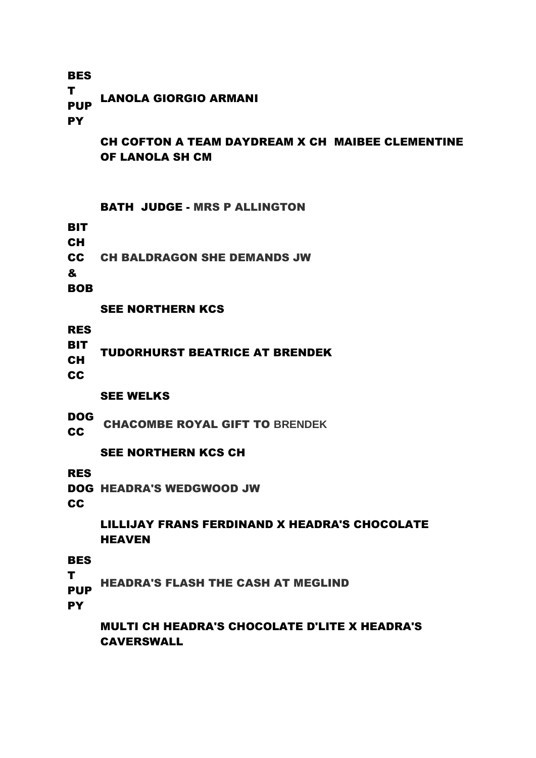#### **BES** T PUP **PY** LANOLA GIORGIO ARMANI

CH COFTON A TEAM DAYDREAM X CH MAIBEE CLEMENTINE OF LANOLA SH CM

## BATH JUDGE - MRS P ALLINGTON

**BIT** 

- CH
- CC CH BALDRAGON SHE DEMANDS JW

&

**BOB** 

# SEE NORTHERN KCS

RES

**BIT** CH TUDORHURST BEATRICE AT BRENDEK

**CC** 

# SEE WELKS

DOG **COULD CHACOMBE ROYAL GIFT TO BRENDEK** 

# SEE NORTHERN KCS CH

RES

DOG HEADRA'S WEDGWOOD JW

CC

# LILLIJAY FRANS FERDINAND X HEADRA'S CHOCOLATE **HEAVEN**

**BES** 

- T
- **PUP** HEADRA'S FLASH THE CASH AT MEGLIND

**PY** 

MULTI CH HEADRA'S CHOCOLATE D'LITE X HEADRA'S CAVERSWALL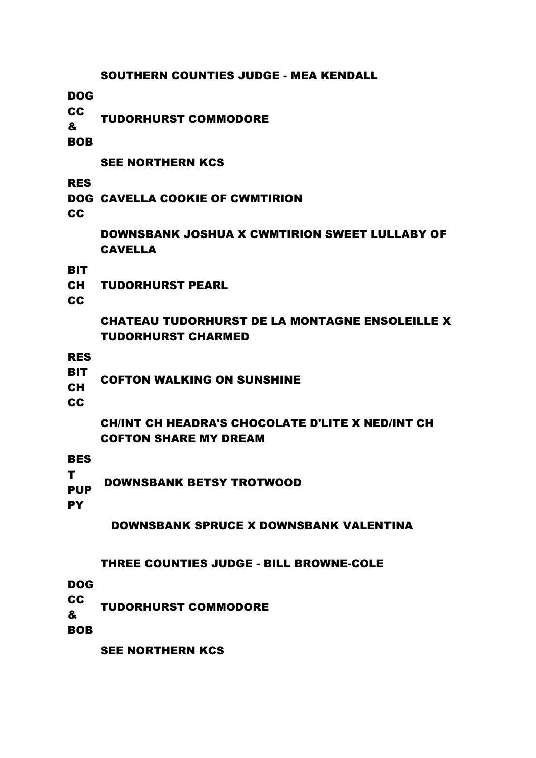#### SOUTHERN COUNTIES JUDGE - MEA KENDALL

DOG

CC & TUDORHURST COMMODORE

BOB

#### SEE NORTHERN KCS

RES

DOG CAVELLA COOKIE OF CWMTIRION

**CC** 

DOWNSBANK JOSHUA X CWMTIRION SWEET LULLABY OF CAVELLA

**BIT** 

CH TUDORHURST PEARL

CC

# CHATEAU TUDORHURST DE LA MONTAGNE ENSOLEILLE X TUDORHURST CHARMED

RES

- **BIT**
- CH COFTON WALKING ON SUNSHINE

CC

# CH/INT CH HEADRA'S CHOCOLATE D'LITE X NED/INT CH COFTON SHARE MY DREAM

**BES** 

T PUP DOWNSBANK BETSY TROTWOOD

**PY** 

# DOWNSBANK SPRUCE X DOWNSBANK VALENTINA

# THREE COUNTIES JUDGE - BILL BROWNE-COLE

DOG

**CC** & TUDORHURST COMMODORE

BOB

SEE NORTHERN KCS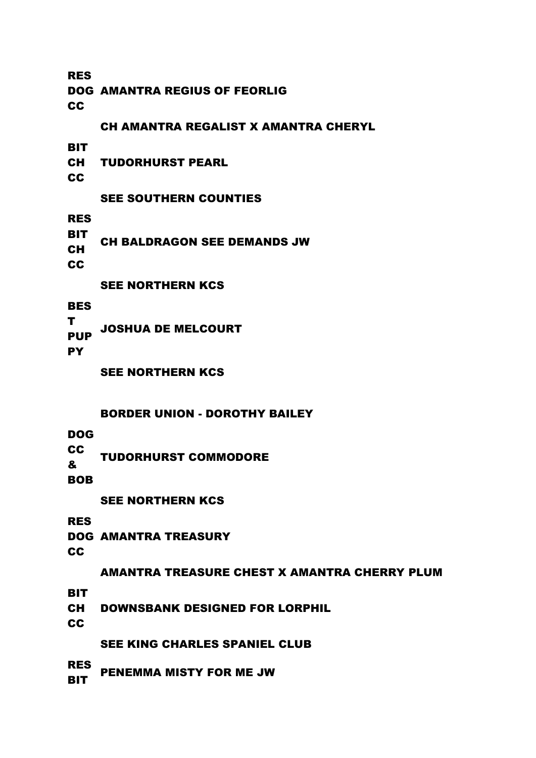RES DOG AMANTRA REGIUS OF FEORLIG **CC** CH AMANTRA REGALIST X AMANTRA CHERYL **BIT** CH CC TUDORHURST PEARL SEE SOUTHERN COUNTIES RES **BIT** CH **CC** CH BALDRAGON SEE DEMANDS JW SEE NORTHERN KCS **BES** T PUP **PY** JOSHUA DE MELCOURT

SEE NORTHERN KCS

### BORDER UNION - DOROTHY BAILEY

DOG

CC & TUDORHURST COMMODORE

BOB

SEE NORTHERN KCS

RES

DOG AMANTRA TREASURY **CC** 

#### AMANTRA TREASURE CHEST X AMANTRA CHERRY PLUM

**BIT** 

CH DOWNSBANK DESIGNED FOR LORPHIL

**CC** 

SEE KING CHARLES SPANIEL CLUB

RES "-" PENEMMA MISTY FOR ME JW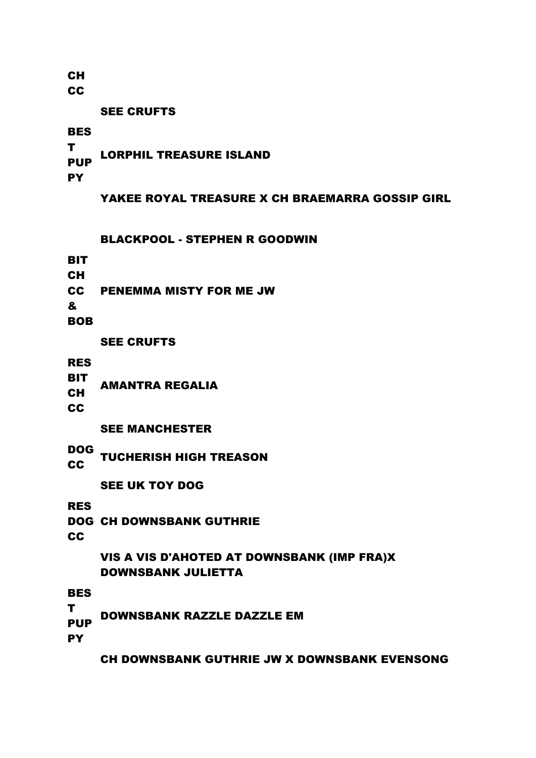**CH** 

**CC** 

SEE CRUFTS

**BES** 

T PUP **PY** LORPHIL TREASURE ISLAND

YAKEE ROYAL TREASURE X CH BRAEMARRA GOSSIP GIRL

BLACKPOOL - STEPHEN R GOODWIN

**BIT** 

**CH** 

CC PENEMMA MISTY FOR ME JW

&

BOB

SEE CRUFTS

RES

- **BIT** AMANTRA REGALIA
- CH

**CC** 

SEE MANCHESTER

DOG **CC TUCHERISH HIGH TREASON**<br>CC

SEE UK TOY DOG

RES

DOG CH DOWNSBANK GUTHRIE

**CC** 

# VIS A VIS D'AHOTED AT DOWNSBANK (IMP FRA)X DOWNSBANK JULIETTA

**BES** 

T PUP DOWNSBANK RAZZLE DAZZLE EM

**PY** 

CH DOWNSBANK GUTHRIE JW X DOWNSBANK EVENSONG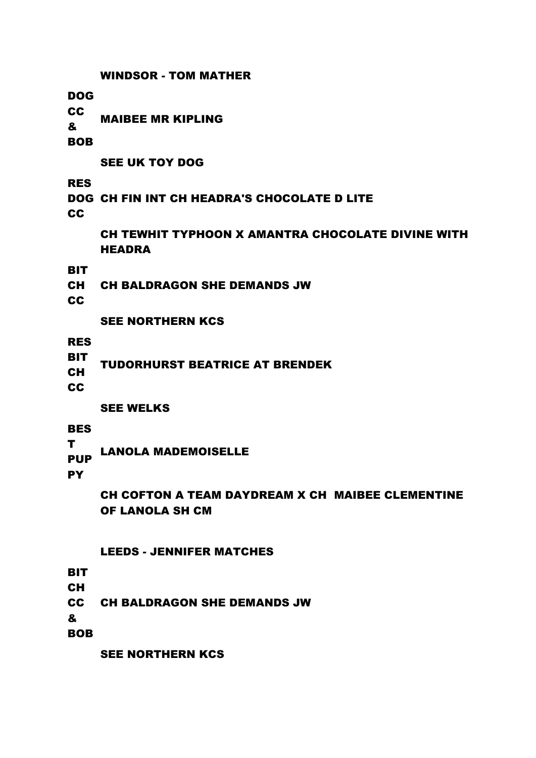WINDSOR - TOM MATHER DOG **CC** & BOB MAIBEE MR KIPLING SEE UK TOY DOG RES DOG CH FIN INT CH HEADRA'S CHOCOLATE D LITE **CC** CH TEWHIT TYPHOON X AMANTRA CHOCOLATE DIVINE WITH **HEADRA BIT** CH **CC** CH BALDRAGON SHE DEMANDS JW SEE NORTHERN KCS RES **BIT** CH **CC** TUDORHURST BEATRICE AT BRENDEK SEE WELKS **BES** T PUP **PY** LANOLA MADEMOISELLE CH COFTON A TEAM DAYDREAM X CH MAIBEE CLEMENTINE OF LANOLA SH CM LEEDS - JENNIFER MATCHES **BIT** CH

**CC** CH BALDRAGON SHE DEMANDS JW

&

BOB

SEE NORTHERN KCS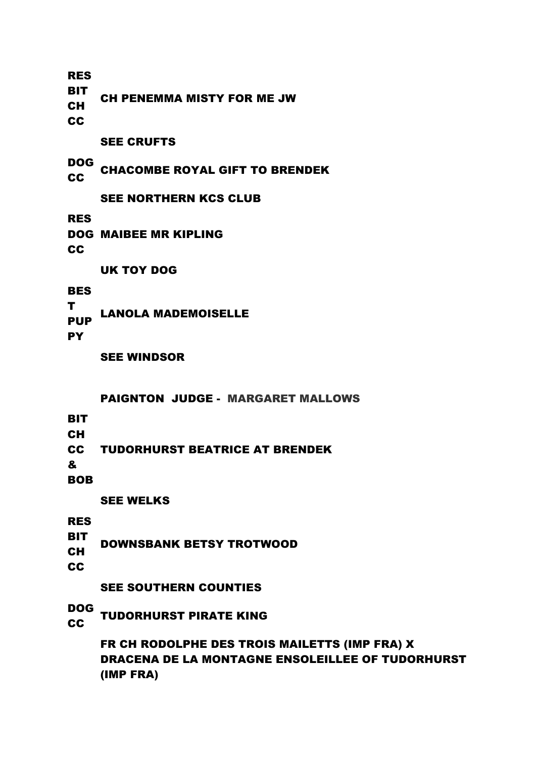RES **BIT** CH **CC** CH PENEMMA MISTY FOR ME JW

SEE CRUFTS

DOG **CC CHACOMBE ROYAL GIFT TO BRENDEK** 

SEE NORTHERN KCS CLUB

RES

DOG MAIBEE MR KIPLING **CC** 

UK TOY DOG

**BES** 

T PUP LANOLA MADEMOISELLE

**PY** 

SEE WINDSOR

PAIGNTON JUDGE - MARGARET MALLOWS

**BIT** 

CH

CC TUDORHURST BEATRICE AT BRENDEK

&

**BOB** 

SEE WELKS

RES

- BIT DOWNSBANK BETSY TROTWOOD
- CH

**CC** 

SEE SOUTHERN COUNTIES

DOG

**CC TUDORHURST PIRATE KING** 

FR CH RODOLPHE DES TROIS MAILETTS (IMP FRA) X DRACENA DE LA MONTAGNE ENSOLEILLEE OF TUDORHURST (IMP FRA)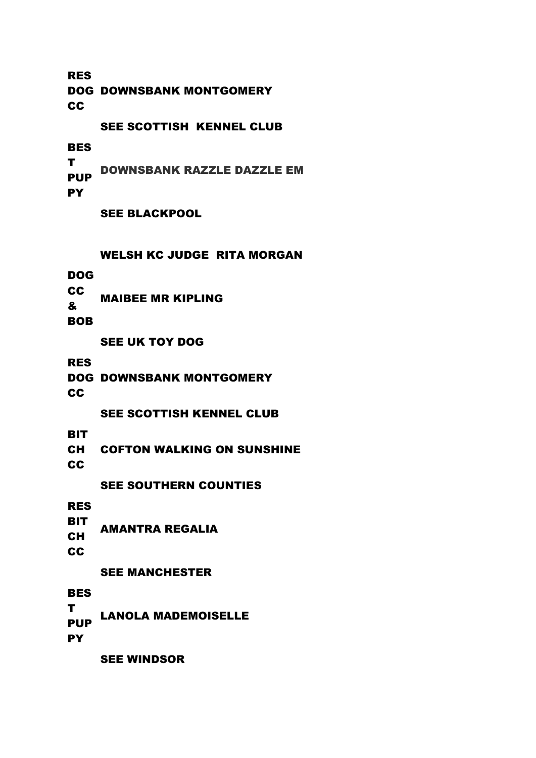RES DOG DOWNSBANK MONTGOMERY **CC** SEE SCOTTISH KENNEL CLUB

**BES** 

T PUP **PY** DOWNSBANK RAZZLE DAZZLE EM

SEE BLACKPOOL

WELSH KC JUDGE RITA MORGAN

DOG

CC & MAIBEE MR KIPLING

BOB

SEE UK TOY DOG

RES

DOG DOWNSBANK MONTGOMERY

**CC** 

SEE SCOTTISH KENNEL CLUB

**BIT** 

CH COFTON WALKING ON SUNSHINE

**CC** 

SEE SOUTHERN COUNTIES

RES

**BIT** CH **CC** AMANTRA REGALIA

SEE MANCHESTER

**BES** 

T LANOLA MADEMOISELLE

**PUP PY** 

SEE WINDSOR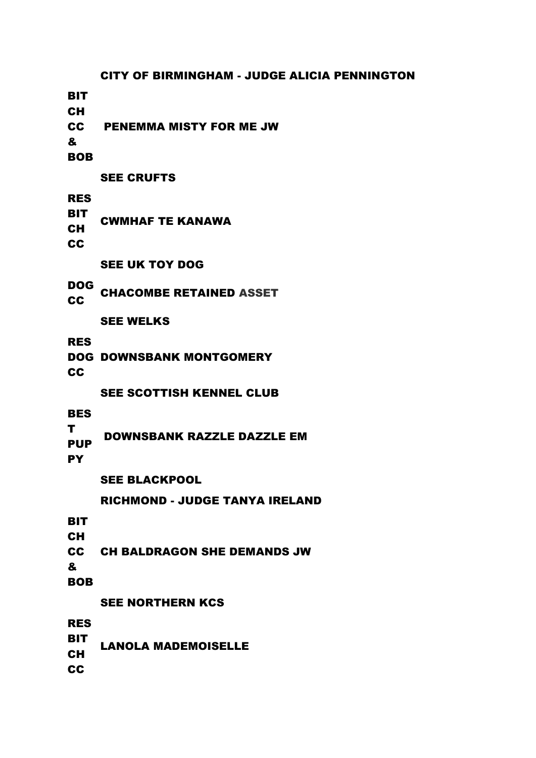CITY OF BIRMINGHAM - JUDGE ALICIA PENNINGTON **BIT** CH CC & BOB PENEMMA MISTY FOR ME JW SEE CRUFTS RES **BIT** CH **CC** CWMHAF TE KANAWA SEE UK TOY DOG DOG CC CHACOMBE RETAINED [ASSET](http://www.dog.biz/cgi-bin/generateShowResults.cgi?showId=670&breed=KING%20CHARLES%20SPANIEL&action=show_breed&showId=670) SEE WELKS RES DOG DOWNSBANK MONTGOMERY **CC** SEE SCOTTISH KENNEL CLUB BES T PUP **PY** DOWNSBANK RAZZLE DAZZLE EM SEE BLACKPOOL RICHMOND - JUDGE TANYA IRELAND **BIT** CH CC & **BOB** CH BALDRAGON SHE DEMANDS JW SEE NORTHERN KCS RES **BIT** CH **CC** LANOLA MADEMOISELLE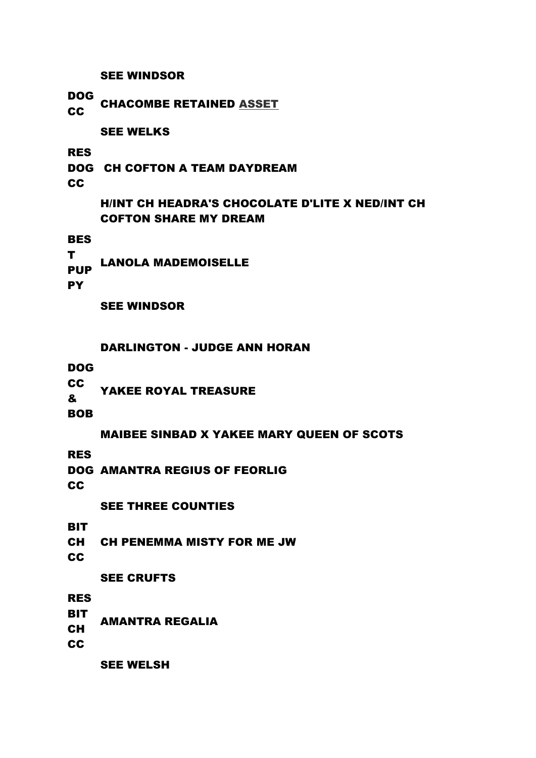SEE WINDSOR

DOG

CC CHACOMBE RETAINED **[ASSET](http://www.dog.biz/cgi-bin/generateShowResults.cgi?showId=676&breed=KING%20CHARLES%20SPANIEL&action=show_breed&showId=676)** 

SEE WELKS

RES

DOG CH COFTON A TEAM DAYDREAM

**CC** 

H/INT CH HEADRA'S CHOCOLATE D'LITE X NED/INT CH COFTON SHARE MY DREAM

**BES** 

T PUP LANOLA MADEMOISELLE

**PY** 

SEE WINDSOR

DARLINGTON - JUDGE ANN HORAN

DOG

CC & YAKEE ROYAL TREASURE

BOB

MAIBEE SINBAD X YAKEE MARY QUEEN OF SCOTS

RES

DOG AMANTRA REGIUS OF FEORLIG

**CC** 

SEE THREE COUNTIES

**BIT** 

CH CH PENEMMA MISTY FOR ME JW

**CC** 

# SEE CRUFTS

RES

**BIT** 

CH AMANTRA REGALIA

**CC** 

SEE WELSH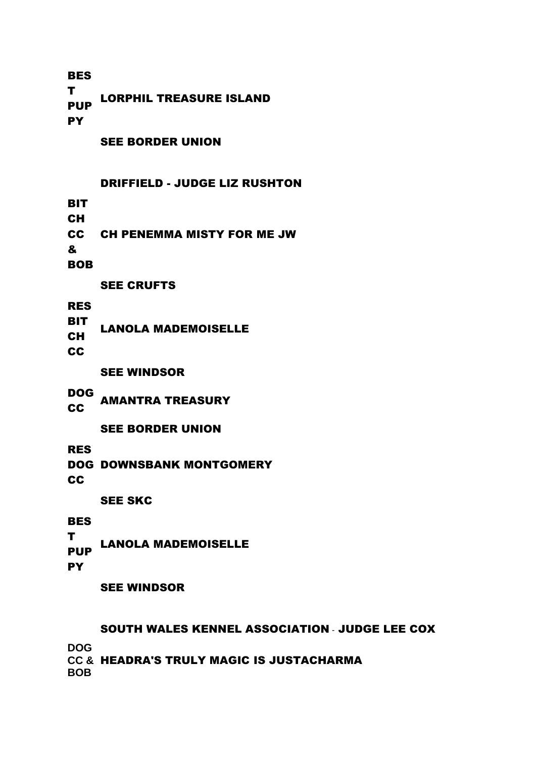**BES** T PUP **PY** LORPHIL TREASURE ISLAND

SEE BORDER UNION

#### DRIFFIELD - JUDGE LIZ RUSHTON

- **BIT**
- CH

**CC** CH PENEMMA MISTY FOR ME JW

&

BOB

SEE CRUFTS

RES

- **BIT** LANOLA MADEMOISELLE
- CH

CC

SEE WINDSOR

DOG CC AMANTRA TREASURY

SEE BORDER UNION

RES

DOG DOWNSBANK MONTGOMERY

**CC** 

SEE SKC

### **BES**

T PUP LANOLA MADEMOISELLE

**PY** 

SEE WINDSOR

SOUTH WALES KENNEL ASSOCIATION - JUDGE LEE COX **DOG** 

**CC &**  HEADRA'S TRULY MAGIC IS JUSTACHARMA**BOB**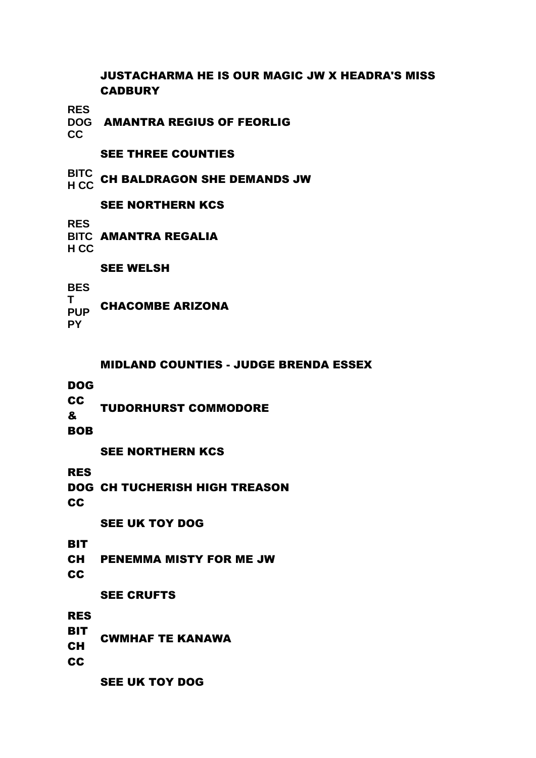# JUSTACHARMA HE IS OUR MAGIC JW X HEADRA'S MISS **CADBURY**

**RES** 

**DOG**  AMANTRA REGIUS OF FEORLIG

**CC**

# SEE THREE COUNTIES

**BITC H CC** CH BALDRAGON SHE DEMANDS JW

## SEE NORTHERN KCS

**RES** 

**BITC** AMANTRA REGALIA **H CC**

### SEE WELSH

**BES T PUP** CHACOMBE ARIZONA **PY**

### MIDLAND COUNTIES - JUDGE BRENDA ESSEX

DOG

**CC** & TUDORHURST COMMODORE

**BOB** 

# SEE NORTHERN KCS

RES

DOG CH TUCHERISH HIGH TREASON

CC

SEE UK TOY DOG

**BIT** 

CH PENEMMA MISTY FOR ME JW

CC

# SEE CRUFTS

RES

- **BIT** CWMHAF TE KANAWA
- CH

**CC** 

SEE UK TOY DOG